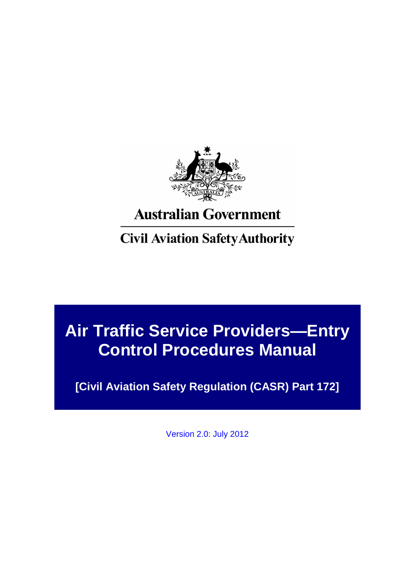

# **Australian Government**

# **Civil Aviation Safety Authority**

# **Air Traffic Service Providers—Entry Control Procedures Manual**

**[Civil Aviation Safety Regulation (CASR) Part 172]**

Version 2.0: July 2012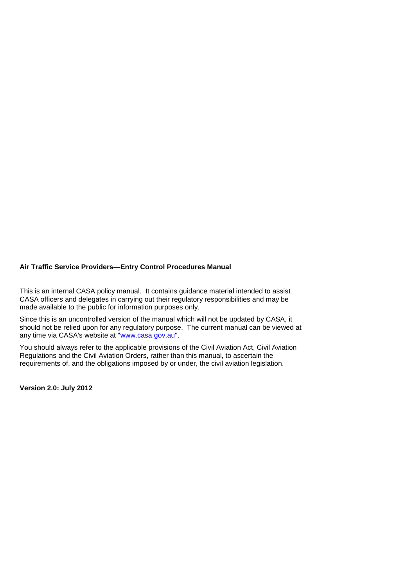This is an internal CASA policy manual. It contains guidance material intended to assist CASA officers and delegates in carrying out their regulatory responsibilities and may be made available to the public for information purposes only.

Since this is an uncontrolled version of the manual which will not be updated by CASA, it should not be relied upon for any regulatory purpose. The current manual can be viewed at any time via CASA's website at ["www.casa.gov.au"](file:///C:/Users/bailey_a/AppData/Local/Temp/Temp2_atsp_1.1_DocArchive.ZIP/atsp_1.1_DocArchive/docs/www.casa.gov.au).

You should always refer to the applicable provisions of the Civil Aviation Act, Civil Aviation Regulations and the Civil Aviation Orders, rather than this manual, to ascertain the requirements of, and the obligations imposed by or under, the civil aviation legislation.

**Version 2.0: July 2012**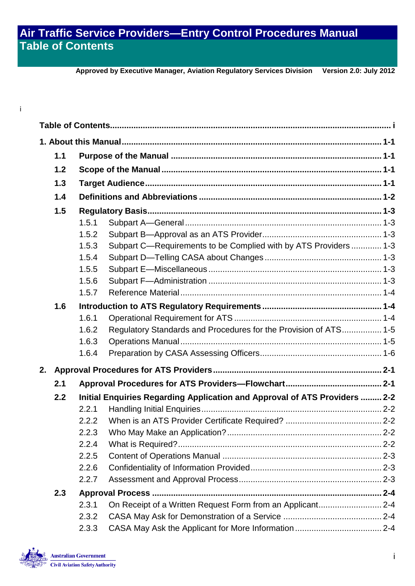## **Air Traffic Service Providers—Entry Control Procedures Manual Table of Contents**

**Approved by Executive Manager, Aviation Regulatory Services Division Version 2.0: July 2012**

# <span id="page-2-0"></span>i

|    | 1.1 |       |                                                                            |  |  |  |  |
|----|-----|-------|----------------------------------------------------------------------------|--|--|--|--|
|    | 1.2 |       |                                                                            |  |  |  |  |
|    | 1.3 |       |                                                                            |  |  |  |  |
|    | 1.4 |       |                                                                            |  |  |  |  |
|    | 1.5 |       |                                                                            |  |  |  |  |
|    |     | 1.5.1 |                                                                            |  |  |  |  |
|    |     | 1.5.2 |                                                                            |  |  |  |  |
|    |     | 1.5.3 | Subpart C-Requirements to be Complied with by ATS Providers  1-3           |  |  |  |  |
|    |     | 1.5.4 |                                                                            |  |  |  |  |
|    |     | 1.5.5 |                                                                            |  |  |  |  |
|    |     | 1.5.6 |                                                                            |  |  |  |  |
|    |     | 1.5.7 |                                                                            |  |  |  |  |
|    | 1.6 |       |                                                                            |  |  |  |  |
|    |     | 1.6.1 |                                                                            |  |  |  |  |
|    |     | 1.6.2 | Regulatory Standards and Procedures for the Provision of ATS 1-5           |  |  |  |  |
|    |     | 1.6.3 |                                                                            |  |  |  |  |
|    |     | 1.6.4 |                                                                            |  |  |  |  |
| 2. |     |       |                                                                            |  |  |  |  |
|    | 2.1 |       |                                                                            |  |  |  |  |
|    | 2.2 |       | Initial Enquiries Regarding Application and Approval of ATS Providers  2-2 |  |  |  |  |
|    |     | 2.2.1 |                                                                            |  |  |  |  |
|    |     | 2.2.2 |                                                                            |  |  |  |  |
|    |     | 2.2.3 |                                                                            |  |  |  |  |
|    |     | 2.2.4 |                                                                            |  |  |  |  |
|    |     | 2.2.5 |                                                                            |  |  |  |  |
|    |     | 2.2.6 |                                                                            |  |  |  |  |
|    |     | 2.2.7 |                                                                            |  |  |  |  |
|    | 2.3 |       |                                                                            |  |  |  |  |
|    |     | 2.3.1 | On Receipt of a Written Request Form from an Applicant 2-4                 |  |  |  |  |
|    |     | 2.3.2 |                                                                            |  |  |  |  |
|    |     | 2.3.3 |                                                                            |  |  |  |  |

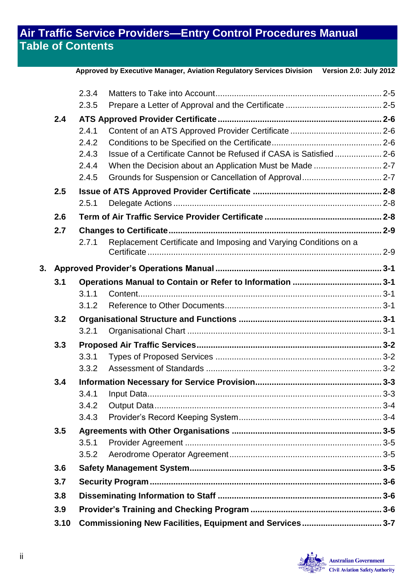## **Air Traffic Service Providers—Entry Control Procedures Manual Table of Contents**

|    |      |                                                          | Approved by Executive Manager, Aviation Regulatory Services Division Version 2.0: July 2012 |  |  |  |  |
|----|------|----------------------------------------------------------|---------------------------------------------------------------------------------------------|--|--|--|--|
|    |      | 2.3.4                                                    |                                                                                             |  |  |  |  |
|    |      | 2.3.5                                                    |                                                                                             |  |  |  |  |
|    | 2.4  |                                                          |                                                                                             |  |  |  |  |
|    |      | 2.4.1                                                    |                                                                                             |  |  |  |  |
|    |      | 2.4.2                                                    |                                                                                             |  |  |  |  |
|    |      | 2.4.3                                                    | Issue of a Certificate Cannot be Refused if CASA is Satisfied 2-6                           |  |  |  |  |
|    |      | 2.4.4                                                    |                                                                                             |  |  |  |  |
|    |      | 2.4.5                                                    |                                                                                             |  |  |  |  |
|    | 2.5  |                                                          |                                                                                             |  |  |  |  |
|    |      | 2.5.1                                                    |                                                                                             |  |  |  |  |
|    | 2.6  |                                                          |                                                                                             |  |  |  |  |
|    | 2.7  |                                                          |                                                                                             |  |  |  |  |
|    |      | 2.7.1                                                    | Replacement Certificate and Imposing and Varying Conditions on a                            |  |  |  |  |
| 3. |      |                                                          |                                                                                             |  |  |  |  |
|    | 3.1  |                                                          |                                                                                             |  |  |  |  |
|    |      | 3.1.1                                                    |                                                                                             |  |  |  |  |
|    |      | 3.1.2                                                    |                                                                                             |  |  |  |  |
|    | 3.2  |                                                          |                                                                                             |  |  |  |  |
|    |      | 3.2.1                                                    |                                                                                             |  |  |  |  |
|    | 3.3  |                                                          |                                                                                             |  |  |  |  |
|    |      | 3.3.1                                                    |                                                                                             |  |  |  |  |
|    |      | 3.3.2                                                    |                                                                                             |  |  |  |  |
|    | 3.4  |                                                          |                                                                                             |  |  |  |  |
|    |      | 3.4.1                                                    |                                                                                             |  |  |  |  |
|    |      | 3.4.2                                                    |                                                                                             |  |  |  |  |
|    |      | 3.4.3                                                    |                                                                                             |  |  |  |  |
|    | 3.5  |                                                          |                                                                                             |  |  |  |  |
|    |      | 3.5.1                                                    |                                                                                             |  |  |  |  |
|    |      | 3.5.2                                                    |                                                                                             |  |  |  |  |
|    | 3.6  |                                                          |                                                                                             |  |  |  |  |
|    | 3.7  |                                                          |                                                                                             |  |  |  |  |
|    | 3.8  |                                                          |                                                                                             |  |  |  |  |
|    | 3.9  |                                                          |                                                                                             |  |  |  |  |
|    | 3.10 | Commissioning New Facilities, Equipment and Services 3-7 |                                                                                             |  |  |  |  |

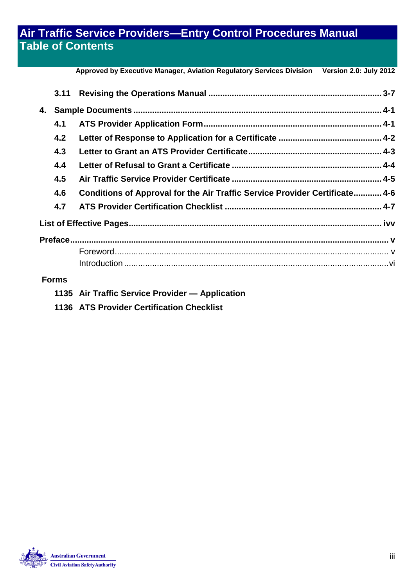## **Air Traffic Service Providers—Entry Control Procedures Manual Table of Contents**

**Approved by Executive Manager, Aviation Regulatory Services Division Version 2.0: July 2012**

|    | 3.11         |                                                                             |  |  |  |  |
|----|--------------|-----------------------------------------------------------------------------|--|--|--|--|
| 4. |              |                                                                             |  |  |  |  |
|    | 4.1          |                                                                             |  |  |  |  |
|    | 4.2          |                                                                             |  |  |  |  |
|    | 4.3          |                                                                             |  |  |  |  |
|    | 4.4          |                                                                             |  |  |  |  |
|    | 4.5          |                                                                             |  |  |  |  |
|    | 4.6          | Conditions of Approval for the Air Traffic Service Provider Certificate 4-6 |  |  |  |  |
|    | 4.7          |                                                                             |  |  |  |  |
|    |              |                                                                             |  |  |  |  |
|    |              |                                                                             |  |  |  |  |
|    |              |                                                                             |  |  |  |  |
|    |              |                                                                             |  |  |  |  |
|    | <b>Forms</b> |                                                                             |  |  |  |  |

#### **Forms**

- **1135 Air Traffic Service Provider — Application**
- **1136 ATS Provider Certification Checklist**

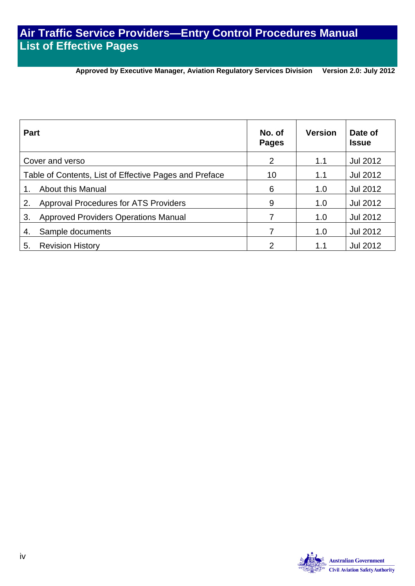## **Air Traffic Service Providers—Entry Control Procedures Manual List of Effective Pages**

## **Approved by Executive Manager, Aviation Regulatory Services Division Version 2.0: July 2012**

<span id="page-5-1"></span><span id="page-5-0"></span>

| <b>Part</b>                                            | No. of<br><b>Pages</b> | <b>Version</b> | Date of<br><b>Issue</b> |
|--------------------------------------------------------|------------------------|----------------|-------------------------|
| Cover and verso                                        | 2                      | 1.1            | Jul 2012                |
| Table of Contents, List of Effective Pages and Preface | 10                     | 1.1            | Jul 2012                |
| <b>About this Manual</b>                               | 6                      | 1.0            | Jul 2012                |
| <b>Approval Procedures for ATS Providers</b><br>2.     | 9                      | 1.0            | Jul 2012                |
| <b>Approved Providers Operations Manual</b><br>3.      |                        | 1.0            | <b>Jul 2012</b>         |
| Sample documents<br>4.                                 |                        | 1.0            | <b>Jul 2012</b>         |
| <b>Revision History</b><br>5.                          | 2                      | 1.1            | <b>Jul 2012</b>         |

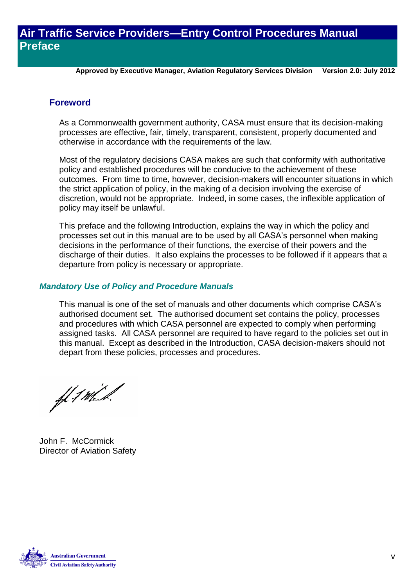**Approved by Executive Manager, Aviation Regulatory Services Division Version 2.0: July 2012**

#### <span id="page-6-0"></span>**Foreword**

As a Commonwealth government authority, CASA must ensure that its decision-making processes are effective, fair, timely, transparent, consistent, properly documented and otherwise in accordance with the requirements of the law.

Most of the regulatory decisions CASA makes are such that conformity with authoritative policy and established procedures will be conducive to the achievement of these outcomes. From time to time, however, decision-makers will encounter situations in which the strict application of policy, in the making of a decision involving the exercise of discretion, would not be appropriate. Indeed, in some cases, the inflexible application of policy may itself be unlawful.

This preface and the following Introduction, explains the way in which the policy and processes set out in this manual are to be used by all CASA's personnel when making decisions in the performance of their functions, the exercise of their powers and the discharge of their duties. It also explains the processes to be followed if it appears that a departure from policy is necessary or appropriate.

#### *Mandatory Use of Policy and Procedure Manuals*

This manual is one of the set of manuals and other documents which comprise CASA's authorised document set. The authorised document set contains the policy, processes and procedures with which CASA personnel are expected to comply when performing assigned tasks. All CASA personnel are required to have regard to the policies set out in this manual. Except as described in the Introduction, CASA decision-makers should not depart from these policies, processes and procedures.

ff 1 Mil.

John F. McCormick Director of Aviation Safety

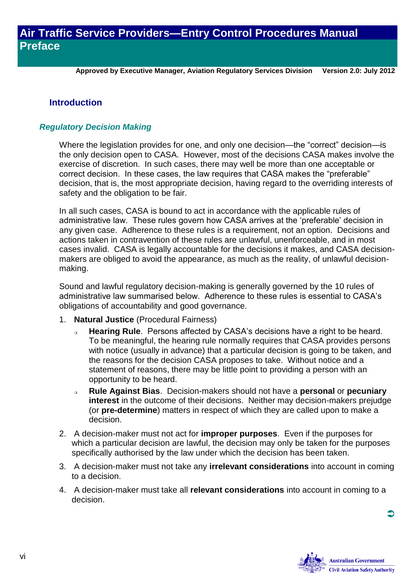**Approved by Executive Manager, Aviation Regulatory Services Division Version 2.0: July 2012**

#### <span id="page-7-0"></span>**Introduction**

#### *Regulatory Decision Making*

Where the legislation provides for one, and only one decision—the "correct" decision—is the only decision open to CASA. However, most of the decisions CASA makes involve the exercise of discretion. In such cases, there may well be more than one acceptable or correct decision. In these cases, the law requires that CASA makes the "preferable" decision, that is, the most appropriate decision, having regard to the overriding interests of safety and the obligation to be fair.

In all such cases, CASA is bound to act in accordance with the applicable rules of administrative law. These rules govern how CASA arrives at the 'preferable' decision in any given case. Adherence to these rules is a requirement, not an option. Decisions and actions taken in contravention of these rules are unlawful, unenforceable, and in most cases invalid. CASA is legally accountable for the decisions it makes, and CASA decisionmakers are obliged to avoid the appearance, as much as the reality, of unlawful decisionmaking.

Sound and lawful regulatory decision-making is generally governed by the 10 rules of administrative law summarised below. Adherence to these rules is essential to CASA's obligations of accountability and good governance.

- 1. **Natural Justice** (Procedural Fairness)
	- **Hearing Rule**. Persons affected by CASA's decisions have a right to be heard. To be meaningful, the hearing rule normally requires that CASA provides persons with notice (usually in advance) that a particular decision is going to be taken, and the reasons for the decision CASA proposes to take. Without notice and a statement of reasons, there may be little point to providing a person with an opportunity to be heard.
	- **Rule Against Bias**. Decision-makers should not have a **personal** or **pecuniary interest** in the outcome of their decisions. Neither may decision-makers prejudge (or **pre-determine**) matters in respect of which they are called upon to make a decision.
- 2. A decision-maker must not act for **improper purposes**. Even if the purposes for which a particular decision are lawful, the decision may only be taken for the purposes specifically authorised by the law under which the decision has been taken.
- 3. A decision-maker must not take any **irrelevant considerations** into account in coming to a decision.
- 4. A decision-maker must take all **relevant considerations** into account in coming to a decision.

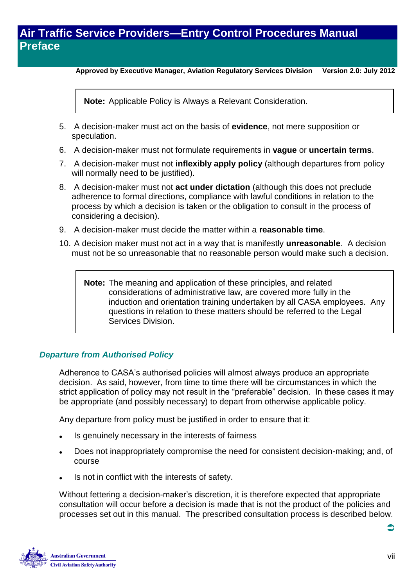**Approved by Executive Manager, Aviation Regulatory Services Division Version 2.0: July 2012**

**Note:** Applicable Policy is Always a Relevant Consideration.

- 5. A decision-maker must act on the basis of **evidence**, not mere supposition or speculation.
- 6. A decision-maker must not formulate requirements in **vague** or **uncertain terms**.
- 7. A decision-maker must not **inflexibly apply policy** (although departures from policy will normally need to be justified).
- 8. A decision-maker must not **act under dictation** (although this does not preclude adherence to formal directions, compliance with lawful conditions in relation to the process by which a decision is taken or the obligation to consult in the process of considering a decision).
- 9. A decision-maker must decide the matter within a **reasonable time**.
- 10. A decision maker must not act in a way that is manifestly **unreasonable**. A decision must not be so unreasonable that no reasonable person would make such a decision.

**Note:** The meaning and application of these principles, and related considerations of administrative law, are covered more fully in the induction and orientation training undertaken by all CASA employees. Any questions in relation to these matters should be referred to the Legal Services Division.

#### *Departure from Authorised Policy*

Adherence to CASA's authorised policies will almost always produce an appropriate decision. As said, however, from time to time there will be circumstances in which the strict application of policy may not result in the "preferable" decision. In these cases it may be appropriate (and possibly necessary) to depart from otherwise applicable policy.

Any departure from policy must be justified in order to ensure that it:

- Is genuinely necessary in the interests of fairness
- Does not inappropriately compromise the need for consistent decision-making; and, of course
- Is not in conflict with the interests of safety.

Without fettering a decision-maker's discretion, it is therefore expected that appropriate consultation will occur before a decision is made that is not the product of the policies and processes set out in this manual. The prescribed consultation process is described below.

**Australian Government Civil Aviation Safety Authority**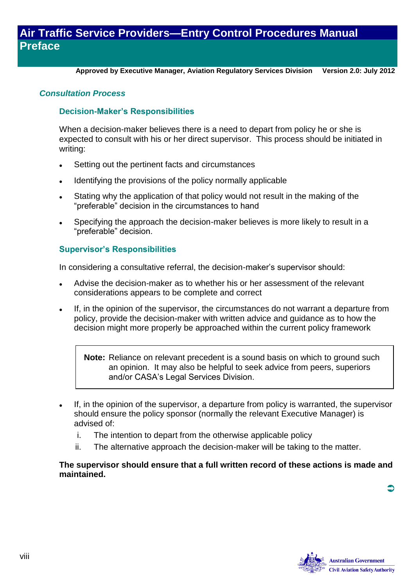**Approved by Executive Manager, Aviation Regulatory Services Division Version 2.0: July 2012**

#### *Consultation Process*

#### **Decision-Maker's Responsibilities**

When a decision-maker believes there is a need to depart from policy he or she is expected to consult with his or her direct supervisor. This process should be initiated in writing:

- Setting out the pertinent facts and circumstances
- Identifying the provisions of the policy normally applicable
- Stating why the application of that policy would not result in the making of the "preferable" decision in the circumstances to hand
- Specifying the approach the decision-maker believes is more likely to result in a "preferable" decision.

#### **Supervisor's Responsibilities**

In considering a consultative referral, the decision-maker's supervisor should:

- Advise the decision-maker as to whether his or her assessment of the relevant considerations appears to be complete and correct
- If, in the opinion of the supervisor, the circumstances do not warrant a departure from policy, provide the decision-maker with written advice and guidance as to how the decision might more properly be approached within the current policy framework

**Note:** Reliance on relevant precedent is a sound basis on which to ground such an opinion. It may also be helpful to seek advice from peers, superiors and/or CASA's Legal Services Division.

- If, in the opinion of the supervisor, a departure from policy is warranted, the supervisor should ensure the policy sponsor (normally the relevant Executive Manager) is advised of:
	- i. The intention to depart from the otherwise applicable policy
	- ii. The alternative approach the decision-maker will be taking to the matter.

#### **The supervisor should ensure that a full written record of these actions is made and maintained.**

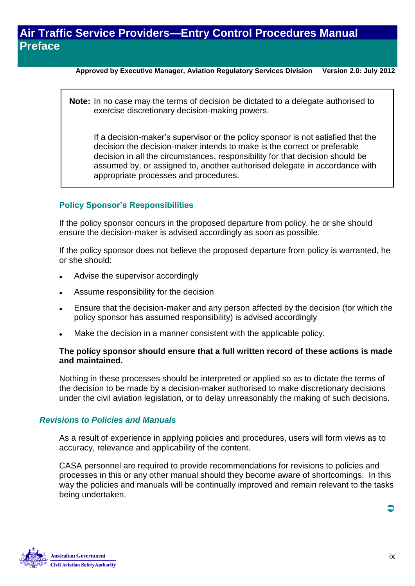**Approved by Executive Manager, Aviation Regulatory Services Division Version 2.0: July 2012**

**Note:** In no case may the terms of decision be dictated to a delegate authorised to exercise discretionary decision-making powers.

If a decision-maker's supervisor or the policy sponsor is not satisfied that the decision the decision-maker intends to make is the correct or preferable decision in all the circumstances, responsibility for that decision should be assumed by, or assigned to, another authorised delegate in accordance with appropriate processes and procedures.

#### **Policy Sponsor's Responsibilities**

If the policy sponsor concurs in the proposed departure from policy, he or she should ensure the decision-maker is advised accordingly as soon as possible.

If the policy sponsor does not believe the proposed departure from policy is warranted, he or she should:

- Advise the supervisor accordingly
- Assume responsibility for the decision
- Ensure that the decision-maker and any person affected by the decision (for which the policy sponsor has assumed responsibility) is advised accordingly
- Make the decision in a manner consistent with the applicable policy.

#### **The policy sponsor should ensure that a full written record of these actions is made and maintained.**

Nothing in these processes should be interpreted or applied so as to dictate the terms of the decision to be made by a decision-maker authorised to make discretionary decisions under the civil aviation legislation, or to delay unreasonably the making of such decisions.

#### *Revisions to Policies and Manuals*

As a result of experience in applying policies and procedures, users will form views as to accuracy, relevance and applicability of the content.

CASA personnel are required to provide recommendations for revisions to policies and processes in this or any other manual should they become aware of shortcomings. In this way the policies and manuals will be continually improved and remain relevant to the tasks being undertaken.

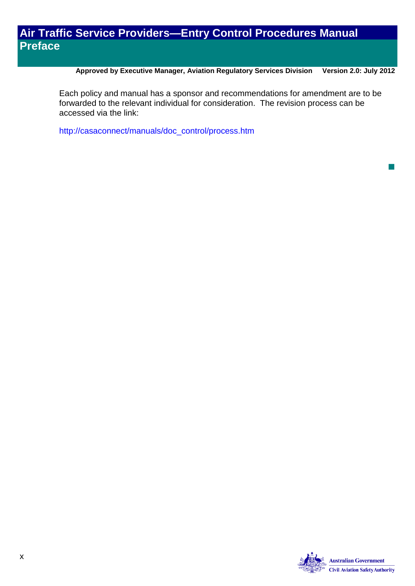**Approved by Executive Manager, Aviation Regulatory Services Division Version 2.0: July 2012**

Each policy and manual has a sponsor and recommendations for amendment are to be forwarded to the relevant individual for consideration. The revision process can be accessed via the link:

[http://casaconnect/manuals/doc\\_control/process.htm](http://casaconnect/manuals/doc_control/process.htm)



 $\mathbb{R}^2$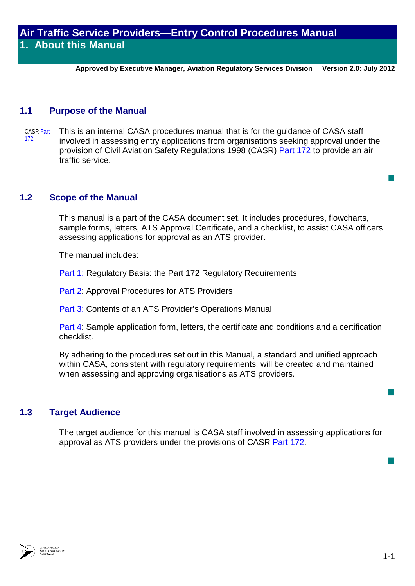**Approved by Executive Manager, Aviation Regulatory Services Division Version 2.0: July 2012**

#### **1.1 Purpose of the Manual**

CASR Part 172. This is an internal CASA procedures manual that is for the guidance of CASA staff involved in assessing entry applications from organisations seeking approval under the provision of Civil Aviation Safety Regulations 1998 (CASR) Part 172 to provide an air traffic service.

#### **1.2 Scope of the Manual**

This manual is a part of the CASA document set. It includes procedures, flowcharts, sample forms, letters, ATS Approval Certificate, and a checklist, to assist CASA officers assessing applications for approval as an ATS provider.

The manual includes:

Part 1: Regulatory Basis: the Part 172 Regulatory Requirements

[Part 2:](http://casa.gov.au/wcmswr/_assets/main/manuals/regulate/atsp/095r02.pdf) Approval Procedures for ATS Providers

[Part 3:](http://casa.gov.au/wcmswr/_assets/main/manuals/regulate/atsp/095r03.pdf) Contents of an ATS Provider's Operations Manual

[Part 4:](http://casa.gov.au/wcmswr/_assets/main/manuals/regulate/atsp/095r04.pdf) Sample application form, letters, the certificate and conditions and a certification checklist.

By adhering to the procedures set out in this Manual, a standard and unified approach within CASA, consistent with regulatory requirements, will be created and maintained when assessing and approving organisations as ATS providers.

#### **1.3 Target Audience**

The target audience for this manual is CASA staff involved in assessing applications for approval as ATS providers under the provisions of CASR Part 172.



 $\overline{\phantom{a}}$ 

 $\overline{\phantom{a}}$ 

 $\mathbb{R}^2$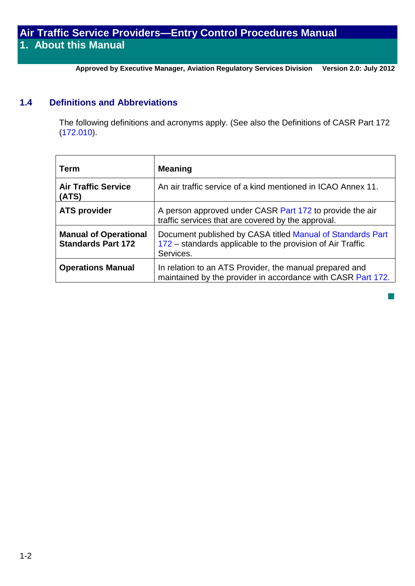**Approved by Executive Manager, Aviation Regulatory Services Division Version 2.0: July 2012**

## **1.4 Definitions and Abbreviations**

The following definitions and acronyms apply. (See also the Definitions of CASR Part 172 (172.010).

| Term                                                      | <b>Meaning</b>                                                                                                                        |
|-----------------------------------------------------------|---------------------------------------------------------------------------------------------------------------------------------------|
| <b>Air Traffic Service</b><br>(ATS)                       | An air traffic service of a kind mentioned in ICAO Annex 11.                                                                          |
| <b>ATS provider</b>                                       | A person approved under CASR Part 172 to provide the air<br>traffic services that are covered by the approval.                        |
| <b>Manual of Operational</b><br><b>Standards Part 172</b> | Document published by CASA titled Manual of Standards Part<br>172 – standards applicable to the provision of Air Traffic<br>Services. |
| <b>Operations Manual</b>                                  | In relation to an ATS Provider, the manual prepared and<br>maintained by the provider in accordance with CASR Part 172.               |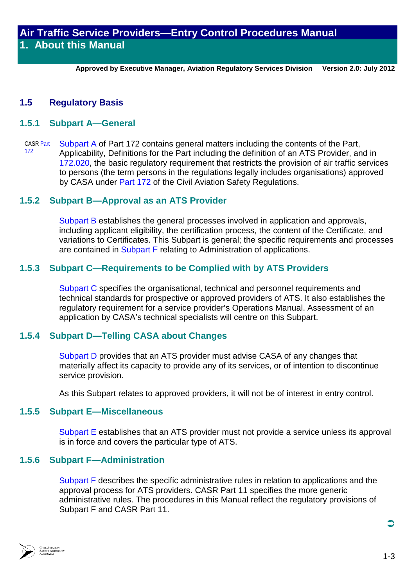**Approved by Executive Manager, Aviation Regulatory Services Division Version 2.0: July 2012**

## **1.5 Regulatory Basis**

#### **1.5.1 Subpart A—General**

CASR Part 172 Subpart A of Part 172 contains general matters including the contents of the Part, Applicability, Definitions for the Part including the definition of an ATS Provider, and in 172.020, the basic regulatory requirement that restricts the provision of air traffic services to persons (the term persons in the regulations legally includes organisations) approved by CASA under Part 172 of the Civil Aviation Safety Regulations.

## **1.5.2 Subpart B—Approval as an ATS Provider**

Subpart B establishes the general processes involved in application and approvals, including applicant eligibility, the certification process, the content of the Certificate, and variations to Certificates. This Subpart is general; the specific requirements and processes are contained in Subpart F relating to Administration of applications.

## **1.5.3 Subpart C—Requirements to be Complied with by ATS Providers**

Subpart C specifies the organisational, technical and personnel requirements and technical standards for prospective or approved providers of ATS. It also establishes the regulatory requirement for a service provider's Operations Manual. Assessment of an application by CASA's technical specialists will centre on this Subpart.

## **1.5.4 Subpart D—Telling CASA about Changes**

Subpart D provides that an ATS provider must advise CASA of any changes that materially affect its capacity to provide any of its services, or of intention to discontinue service provision.

As this Subpart relates to approved providers, it will not be of interest in entry control.

## **1.5.5 Subpart E—Miscellaneous**

Subpart E establishes that an ATS provider must not provide a service unless its approval is in force and covers the particular type of ATS.

#### **1.5.6 Subpart F—Administration**

Subpart F describes the specific administrative rules in relation to applications and the approval process for ATS providers. CASR Part 11 specifies the more generic administrative rules. The procedures in this Manual reflect the regulatory provisions of Subpart F and CASR Part 11.

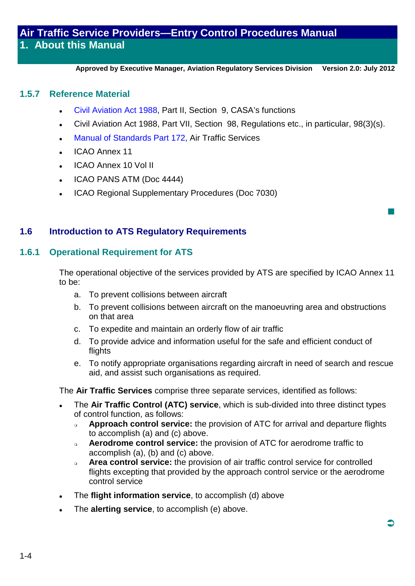**Approved by Executive Manager, Aviation Regulatory Services Division Version 2.0: July 2012**

### **1.5.7 Reference Material**

- Civil Aviation Act 1988, Part II, Section 9, CASA's functions
- Civil Aviation Act 1988, Part VII, Section 98, Regulations etc., in particular, 98(3)(s).
- Manual of Standards Part 172, Air Traffic Services
- ICAO Annex 11
- ICAO Annex 10 Vol II
- ICAO PANS ATM (Doc 4444)
- ICAO Regional Supplementary Procedures (Doc 7030)

## **1.6 Introduction to ATS Regulatory Requirements**

## **1.6.1 Operational Requirement for ATS**

The operational objective of the services provided by ATS are specified by ICAO Annex 11 to be:

- a. To prevent collisions between aircraft
- b. To prevent collisions between aircraft on the manoeuvring area and obstructions on that area
- c. To expedite and maintain an orderly flow of air traffic
- d. To provide advice and information useful for the safe and efficient conduct of flights
- e. To notify appropriate organisations regarding aircraft in need of search and rescue aid, and assist such organisations as required.

The **Air Traffic Services** comprise three separate services, identified as follows:

- The **Air Traffic Control (ATC) service**, which is sub-divided into three distinct types of control function, as follows:
	- **Approach control service:** the provision of ATC for arrival and departure flights to accomplish (a) and (c) above.
	- **Aerodrome control service:** the provision of ATC for aerodrome traffic to accomplish (a), (b) and (c) above.
	- **Area control service:** the provision of air traffic control service for controlled flights excepting that provided by the approach control service or the aerodrome control service
- The **flight information service**, to accomplish (d) above
- The **alerting service**, to accomplish (e) above.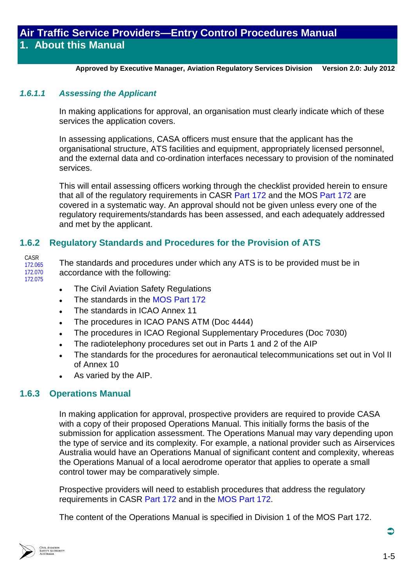**Approved by Executive Manager, Aviation Regulatory Services Division Version 2.0: July 2012**

#### *1.6.1.1 Assessing the Applicant*

In making applications for approval, an organisation must clearly indicate which of these services the application covers.

In assessing applications, CASA officers must ensure that the applicant has the organisational structure, ATS facilities and equipment, appropriately licensed personnel, and the external data and co-ordination interfaces necessary to provision of the nominated services.

This will entail assessing officers working through the checklist provided herein to ensure that all of the regulatory requirements in CASR Part 172 and the MOS Part 172 are covered in a systematic way. An approval should not be given unless every one of the regulatory requirements/standards has been assessed, and each adequately addressed and met by the applicant.

## **1.6.2 Regulatory Standards and Procedures for the Provision of ATS**

CASR 172.065 172.070 172.075

The standards and procedures under which any ATS is to be provided must be in accordance with the following:

- The Civil Aviation Safety Regulations
- The standards in the MOS Part 172
- The standards in ICAO Annex 11
- The procedures in ICAO PANS ATM (Doc 4444)
- The procedures in ICAO Regional Supplementary Procedures (Doc 7030)
- The radiotelephony procedures set out in Parts 1 and 2 of the AIP
- The standards for the procedures for aeronautical telecommunications set out in Vol II of Annex 10
- As varied by the AIP.

## **1.6.3 Operations Manual**

In making application for approval, prospective providers are required to provide CASA with a copy of their proposed Operations Manual. This initially forms the basis of the submission for application assessment. The Operations Manual may vary depending upon the type of service and its complexity. For example, a national provider such as Airservices Australia would have an Operations Manual of significant content and complexity, whereas the Operations Manual of a local aerodrome operator that applies to operate a small control tower may be comparatively simple.

Prospective providers will need to establish procedures that address the regulatory requirements in CASR Part 172 and in the MOS Part 172.

The content of the Operations Manual is specified in Division 1 of the MOS Part 172.

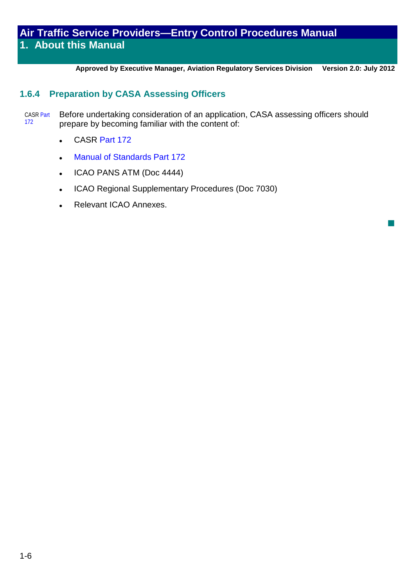**Approved by Executive Manager, Aviation Regulatory Services Division Version 2.0: July 2012**

 $\mathbb{R}^3$ 

## **1.6.4 Preparation by CASA Assessing Officers**

CASR Part 172 Before undertaking consideration of an application, CASA assessing officers should prepare by becoming familiar with the content of:

- CASR Part 172
- Manual of Standards Part 172
- ICAO PANS ATM (Doc 4444)
- ICAO Regional Supplementary Procedures (Doc 7030)
- Relevant ICAO Annexes.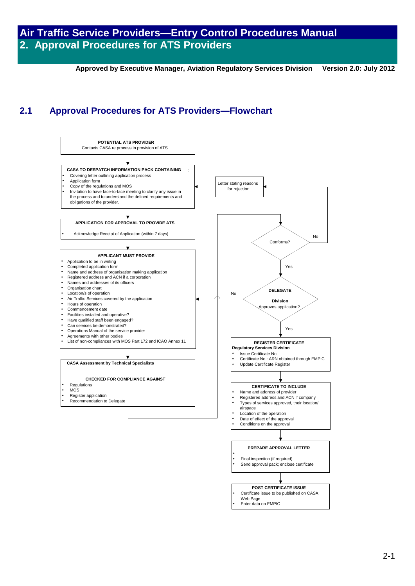**Approved by Executive Manager, Aviation Regulatory Services Division Version 2.0: July 2012**

## **2.1 Approval Procedures for ATS Providers—Flowchart**

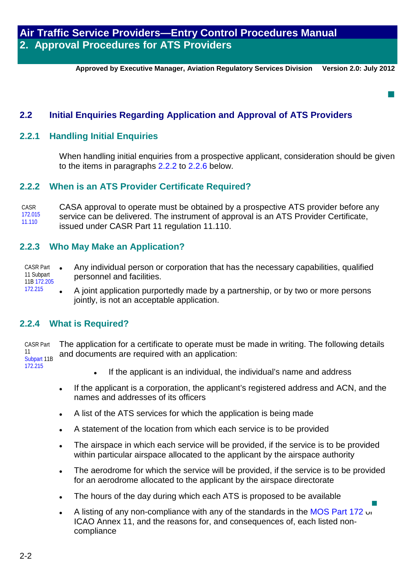**Approved by Executive Manager, Aviation Regulatory Services Division Version 2.0: July 2012**

 $\overline{\phantom{a}}$ 

## **2.2 Initial Enquiries Regarding Application and Approval of ATS Providers**

### **2.2.1 Handling Initial Enquiries**

When handling initial enquiries from a prospective applicant, consideration should be given to the items in paragraphs [2.2.2](#page-19-0) to [2.2.6](#page-20-0) below.

## <span id="page-19-0"></span>**2.2.2 When is an ATS Provider Certificate Required?**

CASR 172.015 11.110 CASA approval to operate must be obtained by a prospective ATS provider before any service can be delivered. The instrument of approval is an ATS Provider Certificate, issued under CASR Part 11 regulation 11.110.

## **2.2.3 Who May Make an Application?**

- CASR Part 11 Subpart 11B 172.205 Any individual person or corporation that has the necessary capabilities, qualified personnel and facilities.
	- A joint application purportedly made by a partnership, or by two or more persons jointly, is not an acceptable application.

#### **2.2.4 What is Required?**

172.215

CASR Part 11 Subpart 11B 172.215 The application for a certificate to operate must be made in writing. The following details and documents are required with an application:

- If the applicant is an individual, the individual's name and address
- If the applicant is a corporation, the applicant's registered address and ACN, and the names and addresses of its officers
- A list of the ATS services for which the application is being made
- A statement of the location from which each service is to be provided
- The airspace in which each service will be provided, if the service is to be provided within particular airspace allocated to the applicant by the airspace authority
- The aerodrome for which the service will be provided, if the service is to be provided for an aerodrome allocated to the applicant by the airspace directorate
- The hours of the day during which each ATS is proposed to be available
- A listing of any non-compliance with any of the standards in the MOS Part 172 or ICAO Annex 11, and the reasons for, and consequences of, each listed noncompliance  $\overline{\phantom{a}}$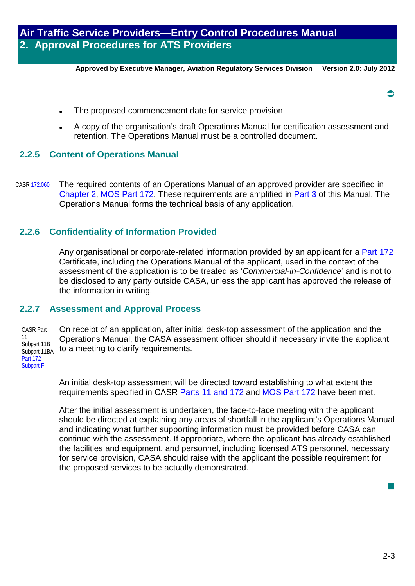**Approved by Executive Manager, Aviation Regulatory Services Division Version 2.0: July 2012**

- The proposed commencement date for service provision
- A copy of the organisation's draft Operations Manual for certification assessment and retention. The Operations Manual must be a controlled document.

## **2.2.5 Content of Operations Manual**

CASR 172.060 The required contents of an Operations Manual of an approved provider are specified in Chapter 2, MOS Part 172. These requirements are amplified in Part 3 of this Manual. The Operations Manual forms the technical basis of any application.

## <span id="page-20-0"></span>**2.2.6 Confidentiality of Information Provided**

Any organisational or corporate-related information provided by an applicant for a Part 172 Certificate, including the Operations Manual of the applicant, used in the context of the assessment of the application is to be treated as '*Commercial-in-Confidence'* and is not to be disclosed to any party outside CASA, unless the applicant has approved the release of the information in writing.

#### **2.2.7 Assessment and Approval Process**

CASR Part 11 Subpart 11B Subpart 11BA Part 172 Subpart F

On receipt of an application, after initial desk-top assessment of the application and the Operations Manual, the CASA assessment officer should if necessary invite the applicant to a meeting to clarify requirements.

An initial desk-top assessment will be directed toward establishing to what extent the requirements specified in CASR Parts 11 and 172 and MOS Part 172 have been met.

After the initial assessment is undertaken, the face-to-face meeting with the applicant should be directed at explaining any areas of shortfall in the applicant's Operations Manual and indicating what further supporting information must be provided before CASA can continue with the assessment. If appropriate, where the applicant has already established the facilities and equipment, and personnel, including licensed ATS personnel, necessary for service provision, CASA should raise with the applicant the possible requirement for the proposed services to be actually demonstrated.

 $\overline{\phantom{a}}$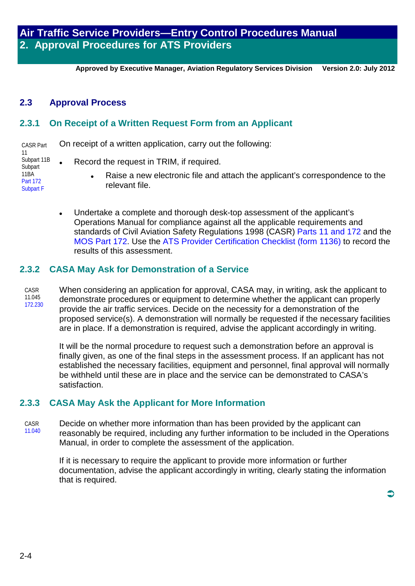**Approved by Executive Manager, Aviation Regulatory Services Division Version 2.0: July 2012**

## **2.3 Approval Process**

## **2.3.1 On Receipt of a Written Request Form from an Applicant**

CASR Part 11 Subpart 11B **Subpart** 11BA Part 172 Subpart F On receipt of a written application, carry out the following:

- Record the request in TRIM, if required.
	- Raise a new electronic file and attach the applicant's correspondence to the relevant file.
- Undertake a complete and thorough desk-top assessment of the applicant's Operations Manual for compliance against all the applicable requirements and standards of Civil Aviation Safety Regulations 1998 (CASR) Parts 11 and 172 and the MOS Part 172. Use the ATS Provider Certification Checklist (form 1136) to record the results of this assessment.

## **2.3.2 CASA May Ask for Demonstration of a Service**

CASR 11.045 172.230 When considering an application for approval, CASA may, in writing, ask the applicant to demonstrate procedures or equipment to determine whether the applicant can properly provide the air traffic services. Decide on the necessity for a demonstration of the proposed service(s). A demonstration will normally be requested if the necessary facilities are in place. If a demonstration is required, advise the applicant accordingly in writing.

It will be the normal procedure to request such a demonstration before an approval is finally given, as one of the final steps in the assessment process. If an applicant has not established the necessary facilities, equipment and personnel, final approval will normally be withheld until these are in place and the service can be demonstrated to CASA's satisfaction.

## **2.3.3 CASA May Ask the Applicant for More Information**

CASR 11.040 Decide on whether more information than has been provided by the applicant can reasonably be required, including any further information to be included in the Operations Manual, in order to complete the assessment of the application.

If it is necessary to require the applicant to provide more information or further documentation, advise the applicant accordingly in writing, clearly stating the information that is required.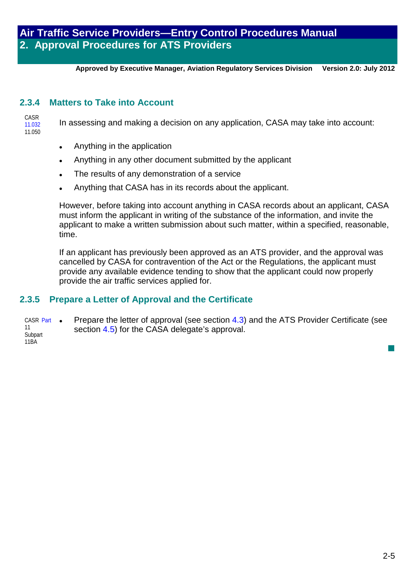**Approved by Executive Manager, Aviation Regulatory Services Division Version 2.0: July 2012**

## **2.3.4 Matters to Take into Account**

| CASR   |                                                                                    |
|--------|------------------------------------------------------------------------------------|
| 11.032 | In assessing and making a decision on any application, CASA may take into account: |
| 11.050 |                                                                                    |

- Anything in the application
- Anything in any other document submitted by the applicant
- The results of any demonstration of a service
- Anything that CASA has in its records about the applicant.

However, before taking into account anything in CASA records about an applicant, CASA must inform the applicant in writing of the substance of the information, and invite the applicant to make a written submission about such matter, within a specified, reasonable, time.

If an applicant has previously been approved as an ATS provider, and the approval was cancelled by CASA for contravention of the Act or the Regulations, the applicant must provide any available evidence tending to show that the applicant could now properly provide the air traffic services applied for.

## **2.3.5 Prepare a Letter of Approval and the Certificate**

CASR Part • 11 Subpart 11BA Prepare the letter of approval (see section 4.3) and the ATS Provider Certificate (see section 4.5) for the CASA delegate's approval.

 $\mathbb{R}^3$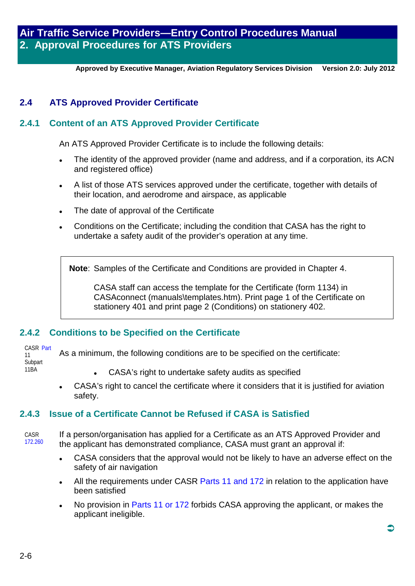**Approved by Executive Manager, Aviation Regulatory Services Division Version 2.0: July 2012**

## **2.4 ATS Approved Provider Certificate**

## **2.4.1 Content of an ATS Approved Provider Certificate**

An ATS Approved Provider Certificate is to include the following details:

- The identity of the approved provider (name and address, and if a corporation, its ACN and registered office)
- A list of those ATS services approved under the certificate, together with details of their location, and aerodrome and airspace, as applicable
- The date of approval of the Certificate
- Conditions on the Certificate; including the condition that CASA has the right to undertake a safety audit of the provider's operation at any time.

**Note**: Samples of the Certificate and Conditions are provided in Chapter 4.

CASA staff can access the template for the Certificate (form 1134) in CASAconnect (manuals\templates.htm). Print page 1 of the Certificate on stationery 401 and print page 2 (Conditions) on stationery 402.

## **2.4.2 Conditions to be Specified on the Certificate**

CASR Part 11 Subpart

- 11BA
- CASA's right to undertake safety audits as specified

As a minimum, the following conditions are to be specified on the certificate:

 CASA's right to cancel the certificate where it considers that it is justified for aviation safety.

## **2.4.3 Issue of a Certificate Cannot be Refused if CASA is Satisfied**

CASR 172.260 If a person/organisation has applied for a Certificate as an ATS Approved Provider and the applicant has demonstrated compliance, CASA must grant an approval if:

- CASA considers that the approval would not be likely to have an adverse effect on the safety of air navigation
- All the requirements under CASR Parts 11 and 172 in relation to the application have been satisfied
- No provision in Parts 11 or 172 forbids CASA approving the applicant, or makes the applicant ineligible.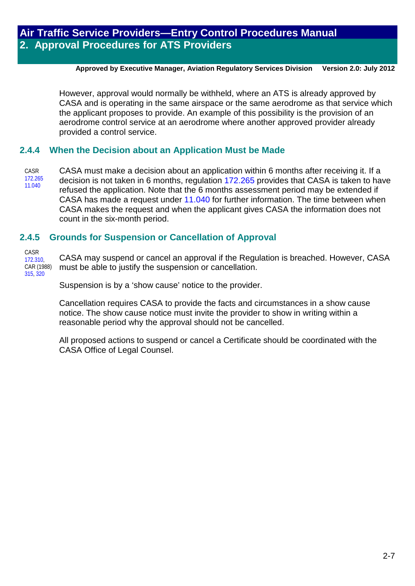#### **Approved by Executive Manager, Aviation Regulatory Services Division Version 2.0: July 2012**

However, approval would normally be withheld, where an ATS is already approved by CASA and is operating in the same airspace or the same aerodrome as that service which the applicant proposes to provide. An example of this possibility is the provision of an aerodrome control service at an aerodrome where another approved provider already provided a control service.

## **2.4.4 When the Decision about an Application Must be Made**

CASR 172.265 11.040 CASA must make a decision about an application within 6 months after receiving it. If a decision is not taken in 6 months, regulation 172,265 provides that CASA is taken to have refused the application. Note that the 6 months assessment period may be extended if CASA has made a request under 11.040 for further information. The time between when CASA makes the request and when the applicant gives CASA the information does not count in the six-month period.

## **2.4.5 Grounds for Suspension or Cancellation of Approval**

CASR 172.310, CAR (1988) 315, 320

CASA may suspend or cancel an approval if the Regulation is breached. However, CASA must be able to justify the suspension or cancellation.

Suspension is by a 'show cause' notice to the provider.

Cancellation requires CASA to provide the facts and circumstances in a show cause notice. The show cause notice must invite the provider to show in writing within a reasonable period why the approval should not be cancelled.

All proposed actions to suspend or cancel a Certificate should be coordinated with the CASA Office of Legal Counsel.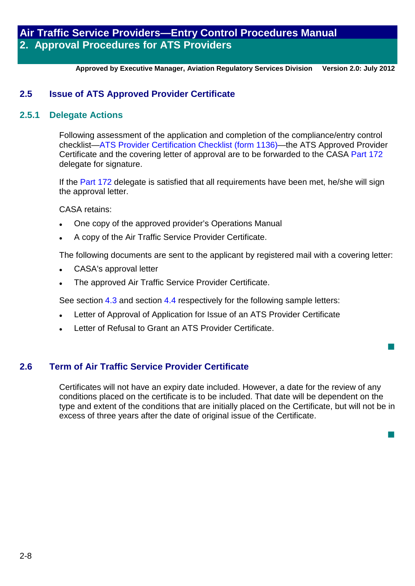**Approved by Executive Manager, Aviation Regulatory Services Division Version 2.0: July 2012**

## **2.5 Issue of ATS Approved Provider Certificate**

#### **2.5.1 Delegate Actions**

Following assessment of the application and completion of the compliance/entry control checklist—ATS Provider Certification Checklist (form 1136)—the ATS Approved Provider Certificate and the covering letter of approval are to be forwarded to the CASA Part 172 delegate for signature.

If the Part 172 delegate is satisfied that all requirements have been met, he/she will sign the approval letter.

CASA retains:

- One copy of the approved provider's Operations Manual
- A copy of the Air Traffic Service Provider Certificate.

The following documents are sent to the applicant by registered mail with a covering letter:

- CASA's approval letter
- The approved Air Traffic Service Provider Certificate.

See section 4.3 and section 4.4 respectively for the following sample letters:

- Letter of Approval of Application for Issue of an ATS Provider Certificate
- Letter of Refusal to Grant an ATS Provider Certificate.

## **2.6 Term of Air Traffic Service Provider Certificate**

Certificates will not have an expiry date included. However, a date for the review of any conditions placed on the certificate is to be included. That date will be dependent on the type and extent of the conditions that are initially placed on the Certificate, but will not be in excess of three years after the date of original issue of the Certificate.

 $\overline{\phantom{a}}$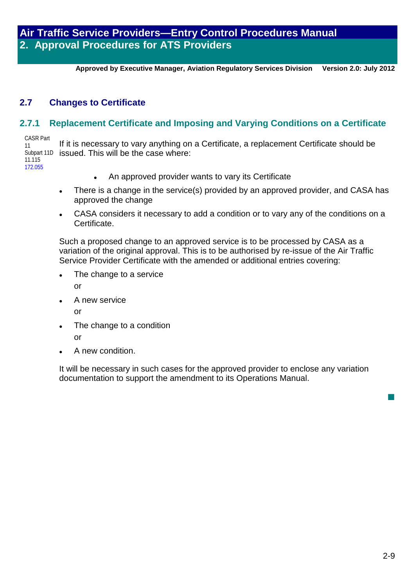**Approved by Executive Manager, Aviation Regulatory Services Division Version 2.0: July 2012**

## **2.7 Changes to Certificate**

## **2.7.1 Replacement Certificate and Imposing and Varying Conditions on a Certificate**

CASR Part 11 Subpart 11D 11.115

172.055

- If it is necessary to vary anything on a Certificate, a replacement Certificate should be issued. This will be the case where:
	- An approved provider wants to vary its Certificate
	- There is a change in the service(s) provided by an approved provider, and CASA has approved the change
	- CASA considers it necessary to add a condition or to vary any of the conditions on a Certificate.

Such a proposed change to an approved service is to be processed by CASA as a variation of the original approval. This is to be authorised by re-issue of the Air Traffic Service Provider Certificate with the amended or additional entries covering:

The change to a service

or

A new service

or

The change to a condition

or

A new condition.

It will be necessary in such cases for the approved provider to enclose any variation documentation to support the amendment to its Operations Manual.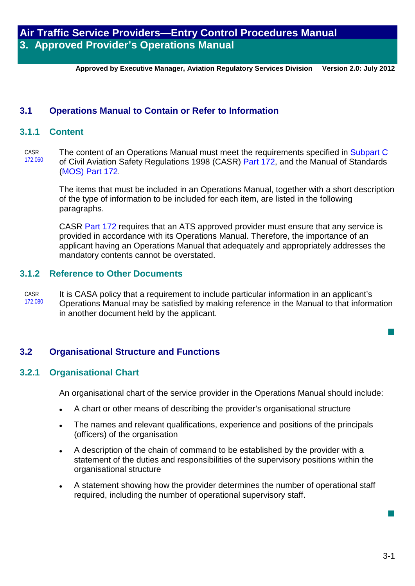**Approved by Executive Manager, Aviation Regulatory Services Division Version 2.0: July 2012**

### **3.1 Operations Manual to Contain or Refer to Information**

#### **3.1.1 Content**

CASR 172.060 The content of an Operations Manual must meet the requirements specified in Subpart C of Civil Aviation Safety Regulations 1998 (CASR) [Part 172,](http://www.casa.gov.au/scripts/nc.dll?WCMS:STANDARD::pc=PC_91027) and the Manual of Standards (MOS) [Part 172.](http://www.casa.gov.au/scripts/nc.dll?WCMS:STANDARD::pc=PC_91027)

> The items that must be included in an Operations Manual, together with a short description of the type of information to be included for each item, are listed in the following paragraphs.

CASR Part 172 requires that an ATS approved provider must ensure that any service is provided in accordance with its Operations Manual. Therefore, the importance of an applicant having an Operations Manual that adequately and appropriately addresses the mandatory contents cannot be overstated.

#### **3.1.2 Reference to Other Documents**

CASR 172.080 It is CASA policy that a requirement to include particular information in an applicant's Operations Manual may be satisfied by making reference in the Manual to that information in another document held by the applicant.

## **3.2 Organisational Structure and Functions**

#### **3.2.1 Organisational Chart**

An organisational chart of the service provider in the Operations Manual should include:

- A chart or other means of describing the provider's organisational structure
- The names and relevant qualifications, experience and positions of the principals (officers) of the organisation
- A description of the chain of command to be established by the provider with a statement of the duties and responsibilities of the supervisory positions within the organisational structure
- A statement showing how the provider determines the number of operational staff required, including the number of operational supervisory staff.

 $\overline{\phantom{a}}$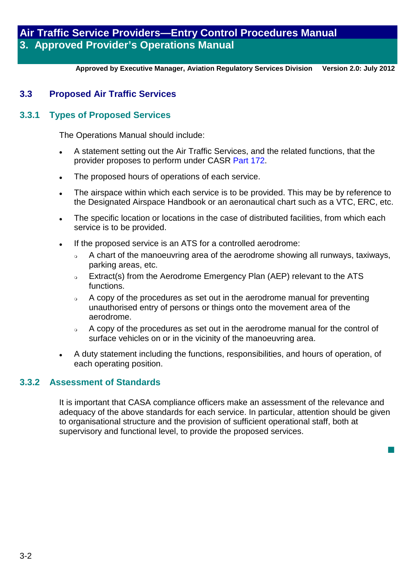**Approved by Executive Manager, Aviation Regulatory Services Division Version 2.0: July 2012**

## **3.3 Proposed Air Traffic Services**

### **3.3.1 Types of Proposed Services**

The Operations Manual should include:

- A statement setting out the Air Traffic Services, and the related functions, that the provider proposes to perform under CASR [Part 172.](http://www.casa.gov.au/scripts/nc.dll?WCMS:STANDARD::pc=PC_91027)
- The proposed hours of operations of each service.
- The airspace within which each service is to be provided. This may be by reference to the Designated Airspace Handbook or an aeronautical chart such as a VTC, ERC, etc.
- The specific location or locations in the case of distributed facilities, from which each service is to be provided.
- If the proposed service is an ATS for a controlled aerodrome:
	- A chart of the manoeuvring area of the aerodrome showing all runways, taxiways, parking areas, etc.
	- o Extract(s) from the Aerodrome Emergency Plan (AEP) relevant to the ATS functions.
	- A copy of the procedures as set out in the aerodrome manual for preventing unauthorised entry of persons or things onto the movement area of the aerodrome.
	- A copy of the procedures as set out in the aerodrome manual for the control of surface vehicles on or in the vicinity of the manoeuvring area.
- A duty statement including the functions, responsibilities, and hours of operation, of each operating position.

#### **3.3.2 Assessment of Standards**

It is important that CASA compliance officers make an assessment of the relevance and adequacy of the above standards for each service. In particular, attention should be given to organisational structure and the provision of sufficient operational staff, both at supervisory and functional level, to provide the proposed services.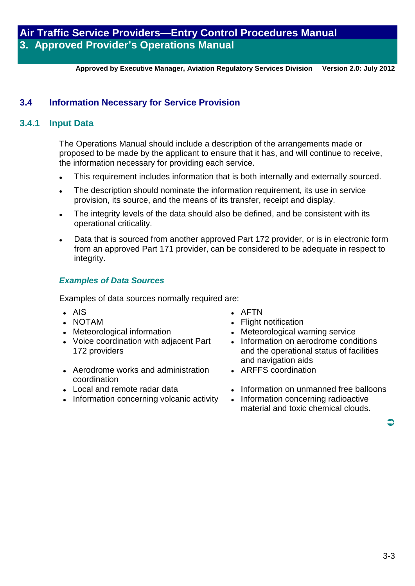**Approved by Executive Manager, Aviation Regulatory Services Division Version 2.0: July 2012**

## **3.4 Information Necessary for Service Provision**

## **3.4.1 Input Data**

The Operations Manual should include a description of the arrangements made or proposed to be made by the applicant to ensure that it has, and will continue to receive, the information necessary for providing each service.

- This requirement includes information that is both internally and externally sourced.
- The description should nominate the information requirement, its use in service provision, its source, and the means of its transfer, receipt and display.
- The integrity levels of the data should also be defined, and be consistent with its operational criticality.
- Data that is sourced from another approved Part 172 provider, or is in electronic form from an approved Part 171 provider, can be considered to be adequate in respect to integrity.

## *Examples of Data Sources*

Examples of data sources normally required are:

- 
- AIS AFTN
- NOTAM <br>• Meteorological information Meteorological way
- Voice coordination with adjacent Part 172 providers
- Aerodrome works and administration coordination<br>I local and remote radar data
- 
- Information concerning volcanic activity
- 
- 
- Meteorological warning service
- . Information on aerodrome conditions and the operational status of facilities and navigation aids
- ARFFS coordination
- Information on unmanned free balloons<br>• Information concerning radioactive
- material and toxic chemical clouds.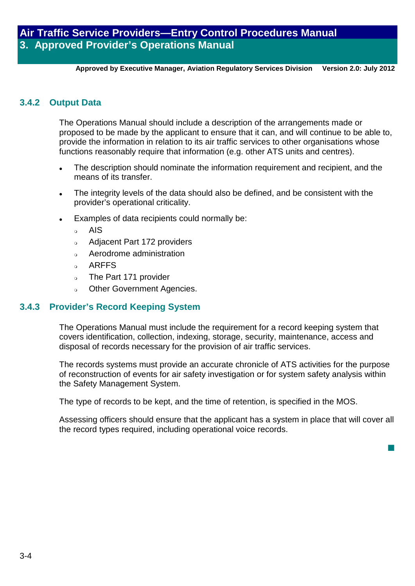**Approved by Executive Manager, Aviation Regulatory Services Division Version 2.0: July 2012**

#### **3.4.2 Output Data**

The Operations Manual should include a description of the arrangements made or proposed to be made by the applicant to ensure that it can, and will continue to be able to, provide the information in relation to its air traffic services to other organisations whose functions reasonably require that information (e.g. other ATS units and centres).

- The description should nominate the information requirement and recipient, and the means of its transfer.
- The integrity levels of the data should also be defined, and be consistent with the provider's operational criticality.
- Examples of data recipients could normally be:
	- <sub>o</sub> AIS
	- Adjacent Part 172 providers
	- Aerodrome administration
	- a ARFFS
	- o The Part 171 provider
	- Other Government Agencies.

#### **3.4.3 Provider's Record Keeping System**

The Operations Manual must include the requirement for a record keeping system that covers identification, collection, indexing, storage, security, maintenance, access and disposal of records necessary for the provision of air traffic services.

The records systems must provide an accurate chronicle of ATS activities for the purpose of reconstruction of events for air safety investigation or for system safety analysis within the Safety Management System.

The type of records to be kept, and the time of retention, is specified in the MOS.

Assessing officers should ensure that the applicant has a system in place that will cover all the record types required, including operational voice records.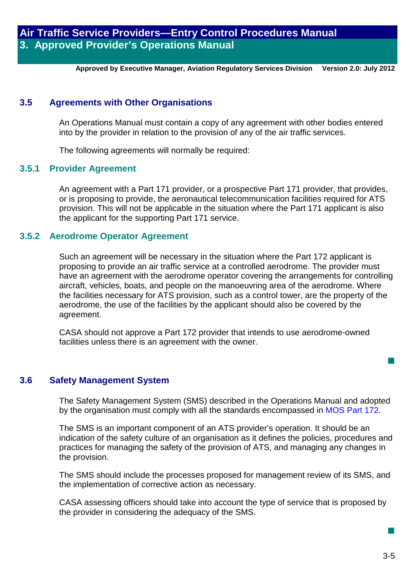**Approved by Executive Manager, Aviation Regulatory Services Division Version 2.0: July 2012**

## **3.5 Agreements with Other Organisations**

An Operations Manual must contain a copy of any agreement with other bodies entered into by the provider in relation to the provision of any of the air traffic services.

The following agreements will normally be required:

#### **3.5.1 Provider Agreement**

An agreement with a Part 171 provider, or a prospective Part 171 provider, that provides, or is proposing to provide, the aeronautical telecommunication facilities required for ATS provision. This will not be applicable in the situation where the Part 171 applicant is also the applicant for the supporting Part 171 service.

#### **3.5.2 Aerodrome Operator Agreement**

Such an agreement will be necessary in the situation where the Part 172 applicant is proposing to provide an air traffic service at a controlled aerodrome. The provider must have an agreement with the aerodrome operator covering the arrangements for controlling aircraft, vehicles, boats, and people on the manoeuvring area of the aerodrome. Where the facilities necessary for ATS provision, such as a control tower, are the property of the aerodrome, the use of the facilities by the applicant should also be covered by the agreement.

CASA should not approve a Part 172 provider that intends to use aerodrome-owned facilities unless there is an agreement with the owner.

#### **3.6 Safety Management System**

The Safety Management System (SMS) described in the Operations Manual and adopted by the organisation must comply with all the standards encompassed in MOS Part 172.

The SMS is an important component of an ATS provider's operation. It should be an indication of the safety culture of an organisation as it defines the policies, procedures and practices for managing the safety of the provision of ATS, and managing any changes in the provision.

The SMS should include the processes proposed for management review of its SMS, and the implementation of corrective action as necessary.

CASA assessing officers should take into account the type of service that is proposed by the provider in considering the adequacy of the SMS.

 $\mathbb{R}^3$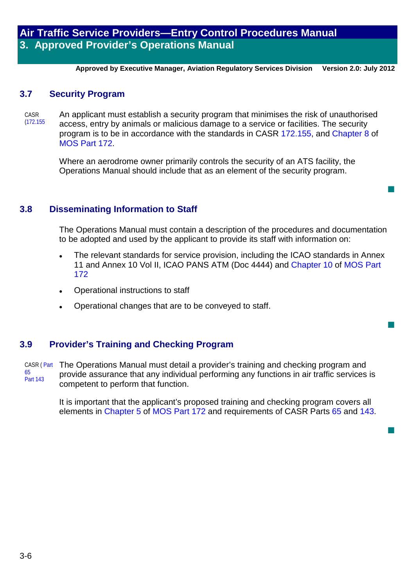**Approved by Executive Manager, Aviation Regulatory Services Division Version 2.0: July 2012**

### **3.7 Security Program**

CASR (172.155 An applicant must establish a security program that minimises the risk of unauthorised access, entry by animals or malicious damage to a service or facilities. The security program is to be in accordance with the standards in CASR 172.155, and Chapter 8 of MOS Part 172.

> Where an aerodrome owner primarily controls the security of an ATS facility, the Operations Manual should include that as an element of the security program.

#### **3.8 Disseminating Information to Staff**

The Operations Manual must contain a description of the procedures and documentation to be adopted and used by the applicant to provide its staff with information on:

 $\overline{\phantom{a}}$ 

 $\mathbb{R}^3$ 

 $\overline{\phantom{a}}$ 

- The relevant standards for service provision, including the ICAO standards in Annex 11 and Annex 10 Vol II, ICAO PANS ATM (Doc 4444) and Chapter 10 of MOS Part 172
- Operational instructions to staff
- Operational changes that are to be conveyed to staff.

## **3.9 Provider's Training and Checking Program**

CASR ( Part 65 Part 143 The Operations Manual must detail a provider's training and checking program and provide assurance that any individual performing any functions in air traffic services is competent to perform that function.

> It is important that the applicant's proposed training and checking program covers all elements in Chapter 5 of MOS Part 172 and requirements of CASR Parts 65 and 143.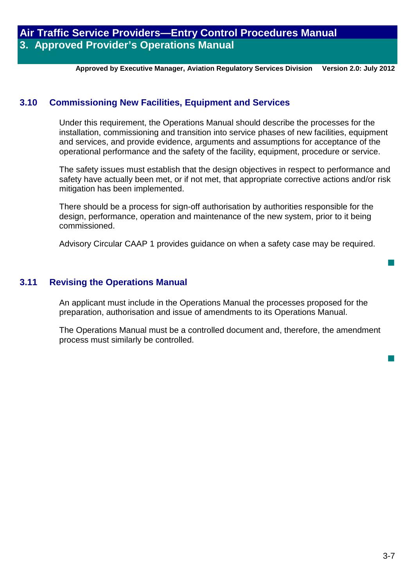**Approved by Executive Manager, Aviation Regulatory Services Division Version 2.0: July 2012**

## **3.10 Commissioning New Facilities, Equipment and Services**

Under this requirement, the Operations Manual should describe the processes for the installation, commissioning and transition into service phases of new facilities, equipment and services, and provide evidence, arguments and assumptions for acceptance of the operational performance and the safety of the facility, equipment, procedure or service.

The safety issues must establish that the design objectives in respect to performance and safety have actually been met, or if not met, that appropriate corrective actions and/or risk mitigation has been implemented.

There should be a process for sign-off authorisation by authorities responsible for the design, performance, operation and maintenance of the new system, prior to it being commissioned.

Advisory Circular CAAP 1 provides guidance on when a safety case may be required.

## **3.11 Revising the Operations Manual**

An applicant must include in the Operations Manual the processes proposed for the preparation, authorisation and issue of amendments to its Operations Manual.

The Operations Manual must be a controlled document and, therefore, the amendment process must similarly be controlled.

 $\overline{\phantom{a}}$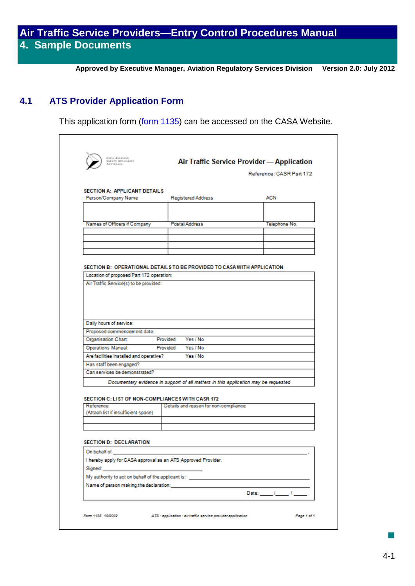**Approved by Executive Manager, Aviation Regulatory Services Division Version 2.0: July 2012**

## **4.1 ATS Provider Application Form**

This application form [\(form 1135\)](http://casa.gov.au/manuals/regulate/atsp/form1135.pdf) can be accessed on the CASA Website.

|                                                                          |                                                                                       | Reference: CASR Part 172 |  |  |  |  |
|--------------------------------------------------------------------------|---------------------------------------------------------------------------------------|--------------------------|--|--|--|--|
| <b>SECTION A: APPLICANT DETAILS</b><br>Person/Company Name               | <b>Registered Address</b>                                                             | ACN                      |  |  |  |  |
|                                                                          |                                                                                       |                          |  |  |  |  |
|                                                                          |                                                                                       |                          |  |  |  |  |
| Names of Officers if Company                                             | Postal Address                                                                        | Telephone No.            |  |  |  |  |
|                                                                          |                                                                                       |                          |  |  |  |  |
|                                                                          |                                                                                       |                          |  |  |  |  |
|                                                                          |                                                                                       |                          |  |  |  |  |
|                                                                          |                                                                                       |                          |  |  |  |  |
|                                                                          |                                                                                       |                          |  |  |  |  |
| Location of proposed Part 172 operation:                                 | SECTION B: OPERATIONAL DETAILS TO BE PROVIDED TO CASA WITH APPLICATION                |                          |  |  |  |  |
| Air Traffic Service(s) to be provided:                                   |                                                                                       |                          |  |  |  |  |
|                                                                          |                                                                                       |                          |  |  |  |  |
|                                                                          |                                                                                       |                          |  |  |  |  |
| Daily hours of service:<br>Proposed commencement date:                   |                                                                                       |                          |  |  |  |  |
| <b>Organisation Chart:</b><br>Provided Yes / No                          |                                                                                       |                          |  |  |  |  |
| Yes / No<br><b>Operations Manual:</b><br>Provided                        |                                                                                       |                          |  |  |  |  |
|                                                                          |                                                                                       |                          |  |  |  |  |
| Are facilities installed and operative?                                  | Yes / No                                                                              |                          |  |  |  |  |
| Has staff been engaged?                                                  |                                                                                       |                          |  |  |  |  |
| Can services be demonstrated?                                            |                                                                                       |                          |  |  |  |  |
|                                                                          | Documentary evidence in support of all matters in this application may be requested   |                          |  |  |  |  |
|                                                                          |                                                                                       |                          |  |  |  |  |
| SECTION C: LIST OF NON-COMPLIANCES WITH CASR 172<br>Reference            | Details and reason for non-compliance                                                 |                          |  |  |  |  |
| (Attach list if insufficient space)                                      |                                                                                       |                          |  |  |  |  |
|                                                                          |                                                                                       |                          |  |  |  |  |
|                                                                          |                                                                                       |                          |  |  |  |  |
|                                                                          |                                                                                       |                          |  |  |  |  |
| <b>SECTION D: DECLARATION</b>                                            |                                                                                       |                          |  |  |  |  |
| On behalf of                                                             |                                                                                       |                          |  |  |  |  |
| I hereby apply for CASA approval as an ATS Approved Provider.<br>Signed: |                                                                                       |                          |  |  |  |  |
|                                                                          | My authority to act on behalf of the applicant is: West and the state of the state of |                          |  |  |  |  |
| Name of person making the declaration:                                   |                                                                                       |                          |  |  |  |  |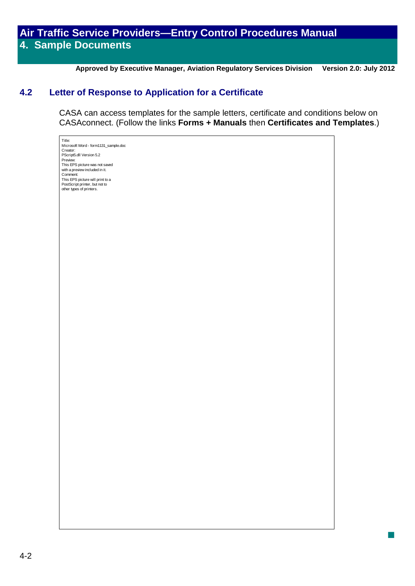**Approved by Executive Manager, Aviation Regulatory Services Division Version 2.0: July 2012**

 $\overline{\phantom{a}}$ 

## **4.2 Letter of Response to Application for a Certificate**

CASA can access templates for the sample letters, certificate and conditions below on CASAconnect. (Follow the links **Forms + Manuals** then **Certificates and Templates**.)

Title: Microsoft Word - form1131\_sample.doc Creator: PScript5.dll Version 5.2 Previe This EPS picture was not saved with a preview included in it. Comment: This EPS picture will print to a PostScript printer, but not to other types of printers.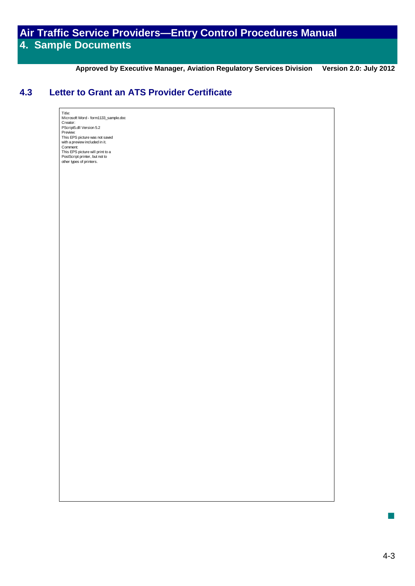**Approved by Executive Manager, Aviation Regulatory Services Division Version 2.0: July 2012**

## **4.3 Letter to Grant an ATS Provider Certificate**

Title: Microsoft Word - form1133\_sample.doc Creator: PScript5.dll Version 5.2 Preview: This EPS picture was not saved with a preview included in it. Comment: This EPS picture will print to a PostScript printer, but not to other types of printers.

 $\mathbb{R}^3$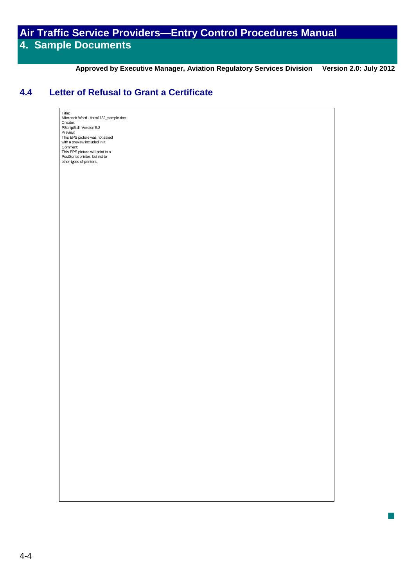**Approved by Executive Manager, Aviation Regulatory Services Division Version 2.0: July 2012**

T,

## **4.4 Letter of Refusal to Grant a Certificate**

Title: Microsoft Word - form1132\_sample.doc Creator: PScript5.dll Version 5.2 Preview: This EPS picture was not saved with a preview included in it. Comment: This EPS picture will print to a PostScript printer, but not to other types of printers.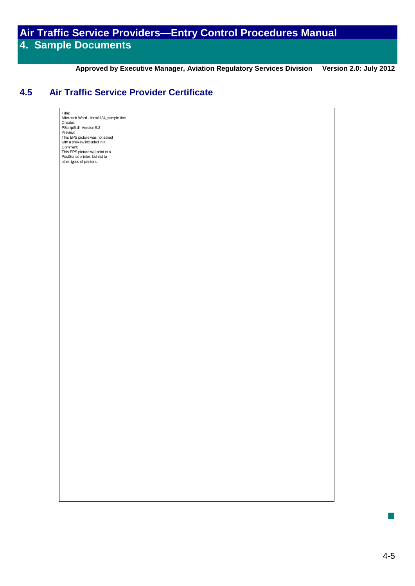**Approved by Executive Manager, Aviation Regulatory Services Division Version 2.0: July 2012**

## **4.5 Air Traffic Service Provider Certificate**

Title: Microsoft Word - form1134\_sample.doc Creator: PScript5.dll Version 5.2 Preview: This EPS picture was not saved with a preview included in it. Comment: This EPS picture will print to a PostScript printer, but not to other types of printers.

 $\mathbb{R}^3$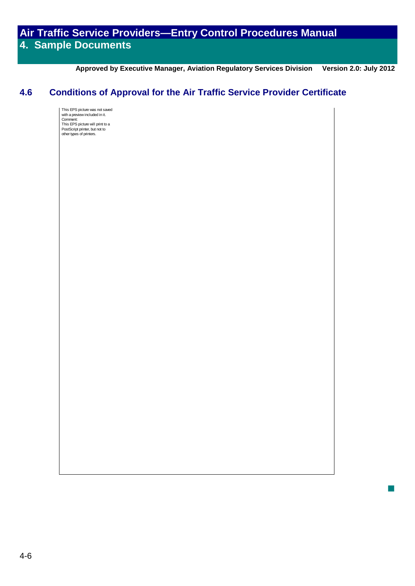**Approved by Executive Manager, Aviation Regulatory Services Division Version 2.0: July 2012**

 $\overline{\phantom{a}}$ 

## **4.6 Conditions of Approval for the Air Traffic Service Provider Certificate**

This EPS picture was not saved with a preview included in it. Comment: This EPS picture will print to a PostScript printer, but not to other types of printers.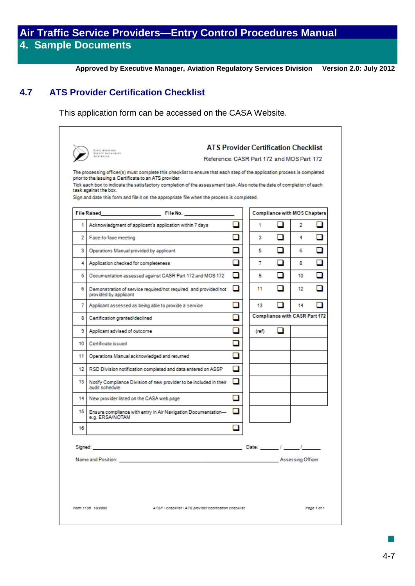**Approved by Executive Manager, Aviation Regulatory Services Division Version 2.0: July 2012**

## **4.7 ATS Provider Certification Checklist**

This application form can be accessed on the CASA Website.

|    | The processing officer(s) must complete this checklist to ensure that each step of the application process is completed<br>prior to the issuing a Certificate to an ATS provider.<br>Tick each box to indicate the satisfactory completion of the assessment task. Also note the date of completion of each |                          |       |                                      |     |   |
|----|-------------------------------------------------------------------------------------------------------------------------------------------------------------------------------------------------------------------------------------------------------------------------------------------------------------|--------------------------|-------|--------------------------------------|-----|---|
|    | task against the box.<br>Sign and date this form and file it on the appropriate file when the process is completed.                                                                                                                                                                                         |                          |       |                                      |     |   |
|    | <b>File Raised</b><br><b>File No. Contract Contract Contract Contract</b>                                                                                                                                                                                                                                   |                          |       | <b>Compliance with MOS Chapters</b>  |     |   |
| 1  | Acknowledgment of applicant's application within 7 days                                                                                                                                                                                                                                                     |                          | 1     |                                      | 2   | П |
| 2. | Face-to-face meeting                                                                                                                                                                                                                                                                                        |                          | 3     | n                                    | 4   | П |
| з  | Operations Manual provided by applicant                                                                                                                                                                                                                                                                     |                          | 5     | n                                    | 6   | п |
| 4  | Application checked for completeness                                                                                                                                                                                                                                                                        |                          | 7     | n                                    | 8   |   |
| 5  | Documentation assessed against CASR Part 172 and MOS 172                                                                                                                                                                                                                                                    | п                        | 9     | П                                    | 10  | П |
| б  | Demonstration of service required/not required, and provided/not<br>provided by applicant                                                                                                                                                                                                                   | □                        | 11    | П                                    | 12. | n |
| 7  | Applicant assessed as being able to provide a service                                                                                                                                                                                                                                                       | $\overline{\phantom{a}}$ | 13    |                                      | 14  | n |
| 8  | Certification granted/declined                                                                                                                                                                                                                                                                              | ┒                        |       | <b>Compliance with CASR Part 172</b> |     |   |
| 9  | Applicant advised of outcome                                                                                                                                                                                                                                                                                |                          | (ref) |                                      |     |   |
| 10 | Certificate issued                                                                                                                                                                                                                                                                                          |                          |       |                                      |     |   |
| 11 | Operations Manual acknowledged and returned                                                                                                                                                                                                                                                                 |                          |       |                                      |     |   |
| 12 | RSD Division notification completed and data entered on ASSP                                                                                                                                                                                                                                                |                          |       |                                      |     |   |
| 13 | Notify Compliance Division of new provider to be included in their<br>audit schedule                                                                                                                                                                                                                        | □                        |       |                                      |     |   |
| 14 | New provider listed on the CASA web page                                                                                                                                                                                                                                                                    | $\overline{\phantom{0}}$ |       |                                      |     |   |
| 15 | Ensure compliance with entry in Air Navigation Documentation-<br>e.g. ERSA/NOTAM                                                                                                                                                                                                                            |                          |       |                                      |     |   |
| 16 |                                                                                                                                                                                                                                                                                                             |                          |       |                                      |     |   |
|    |                                                                                                                                                                                                                                                                                                             |                          |       |                                      |     |   |
|    | Name and Position: Name and Position: Name and Position: Name and Position: Name and Position: Name and Position:                                                                                                                                                                                           |                          |       |                                      |     |   |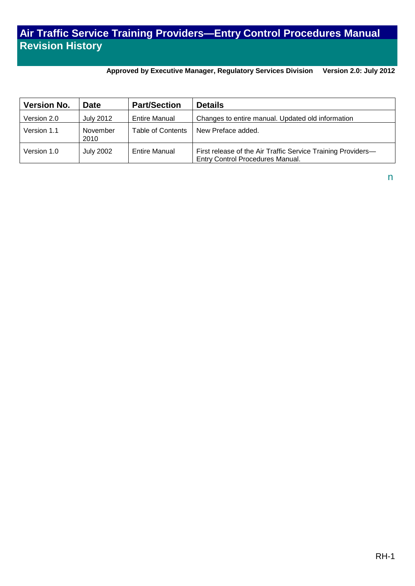## **Air Traffic Service Training Providers—Entry Control Procedures Manual Revision History**

**Approved by Executive Manager, Regulatory Services Division Version 2.0: July 2012**

| <b>Version No.</b> | <b>Date</b>      | <b>Part/Section</b>  | <b>Details</b>                                                                                   |
|--------------------|------------------|----------------------|--------------------------------------------------------------------------------------------------|
| Version 2.0        | July 2012        | <b>Entire Manual</b> | Changes to entire manual. Updated old information                                                |
| Version 1.1        | November<br>2010 | Table of Contents    | New Preface added.                                                                               |
| Version 1.0        | <b>July 2002</b> | <b>Entire Manual</b> | First release of the Air Traffic Service Training Providers-<br>Entry Control Procedures Manual. |